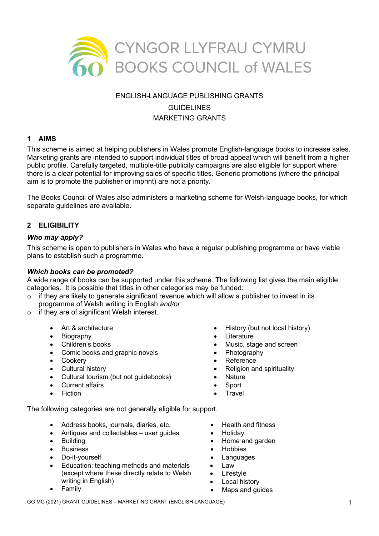

# ENGLISH-LANGUAGE PUBLISHING GRANTS GUIDELINES MARKETING GRANTS

# **1 AIMS**

This scheme is aimed at helping publishers in Wales promote English-language books to increase sales. Marketing grants are intended to support individual titles of broad appeal which will benefit from a higher public profile. Carefully targeted, multiple-title publicity campaigns are also eligible for support where there is a clear potential for improving sales of specific titles. Generic promotions (where the principal aim is to promote the publisher or imprint) are not a priority.

The Books Council of Wales also administers a marketing scheme for Welsh-language books, for which separate guidelines are available.

### **2 ELIGIBILITY**

### *Who may apply?*

This scheme is open to publishers in Wales who have a regular publishing programme or have viable plans to establish such a programme.

#### *Which books can be promoted?*

A wide range of books can be supported under this scheme. The following list gives the main eligible categories. It is possible that titles in other categories may be funded:

- $\circ$  if they are likely to generate significant revenue which will allow a publisher to invest in its programme of Welsh writing in English *and/or*
- o if they are of significant Welsh interest.
	- Art & architecture
	- Biography
	- Children's books
	- Comic books and graphic novels
	- Cookery
	- Cultural history
	- Cultural tourism (but not guidebooks)
	- Current affairs
	- Fiction
- History (but not local history)
- **Literature**
- Music, stage and screen
- **Photography**
- **Reference**
- Religion and spirituality
- Nature
- **Sport**
- **Travel**

The following categories are not generally eligible for support.

- Address books, journals, diaries, etc.
- Antiques and collectables user guides
- Building
- Business
- Do-it-vourself
- Education: teaching methods and materials (except where these directly relate to Welsh writing in English)
- Family
- Health and fitness
- Holiday
- Home and garden
- Hobbies
- **Languages**
- Law
- **Lifestyle**
- **Local history**
- Maps and guides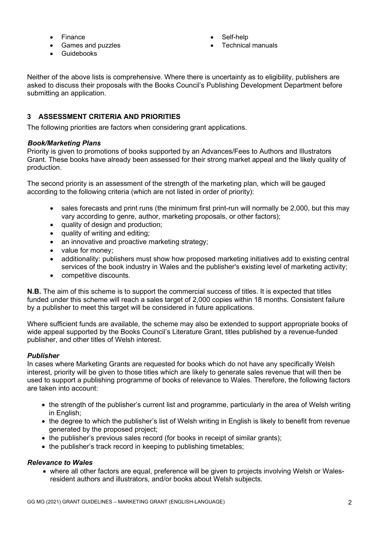- **Finance**
- Games and puzzles
- Self-help
- Technical manuals

**Guidebooks** 

Neither of the above lists is comprehensive. Where there is uncertainty as to eligibility, publishers are asked to discuss their proposals with the Books Council's Publishing Development Department before submitting an application.

# **3 ASSESSMENT CRITERIA AND PRIORITIES**

The following priorities are factors when considering grant applications.

### *Book/Marketing Plans*

Priority is given to promotions of books supported by an Advances/Fees to Authors and Illustrators Grant. These books have already been assessed for their strong market appeal and the likely quality of production.

The second priority is an assessment of the strength of the marketing plan, which will be gauged according to the following criteria (which are not listed in order of priority):

- sales forecasts and print runs (the minimum first print-run will normally be 2,000, but this may vary according to genre, author, marketing proposals, or other factors);
- quality of design and production;
- quality of writing and editing;
- an innovative and proactive marketing strategy;
- value for money:
- additionality: publishers must show how proposed marketing initiatives add to existing central services of the book industry in Wales and the publisher's existing level of marketing activity;
- competitive discounts.

**N.B.** The aim of this scheme is to support the commercial success of titles. It is expected that titles funded under this scheme will reach a sales target of 2,000 copies within 18 months. Consistent failure by a publisher to meet this target will be considered in future applications.

Where sufficient funds are available, the scheme may also be extended to support appropriate books of wide appeal supported by the Books Council's Literature Grant, titles published by a revenue-funded publisher, and other titles of Welsh interest.

# *Publisher*

In cases where Marketing Grants are requested for books which do not have any specifically Welsh interest, priority will be given to those titles which are likely to generate sales revenue that will then be used to support a publishing programme of books of relevance to Wales. Therefore, the following factors are taken into account:

- the strength of the publisher's current list and programme, particularly in the area of Welsh writing in English;
- the degree to which the publisher's list of Welsh writing in English is likely to benefit from revenue generated by the proposed project;
- the publisher's previous sales record (for books in receipt of similar grants);
- the publisher's track record in keeping to publishing timetables;

### *Relevance to Wales*

• where all other factors are equal, preference will be given to projects involving Welsh or Walesresident authors and illustrators, and/or books about Welsh subjects.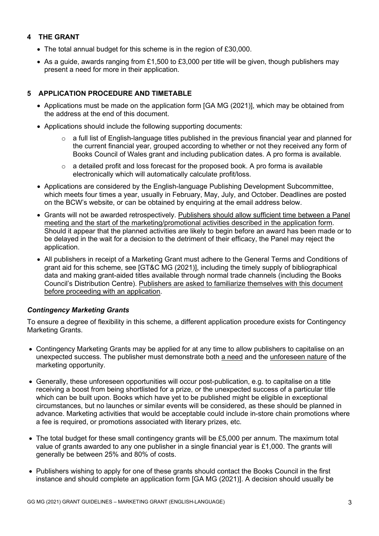# **4 THE GRANT**

- The total annual budget for this scheme is in the region of £30,000.
- As a guide, awards ranging from £1,500 to £3,000 per title will be given, though publishers may present a need for more in their application.

# **5 APPLICATION PROCEDURE AND TIMETABLE**

- Applications must be made on the application form [GA MG (2021)], which may be obtained from the address at the end of this document.
- Applications should include the following supporting documents:
	- $\circ$  a full list of English-language titles published in the previous financial year and planned for the current financial year, grouped according to whether or not they received any form of Books Council of Wales grant and including publication dates. A pro forma is available.
	- $\circ$  a detailed profit and loss forecast for the proposed book. A pro forma is available electronically which will automatically calculate profit/loss.
- Applications are considered by the English-language Publishing Development Subcommittee, which meets four times a year, usually in February, May, July, and October. Deadlines are posted on the BCW's website, or can be obtained by enquiring at the email address below.
- Grants will not be awarded retrospectively. Publishers should allow sufficient time between a Panel meeting and the start of the marketing/promotional activities described in the application form. Should it appear that the planned activities are likely to begin before an award has been made or to be delayed in the wait for a decision to the detriment of their efficacy, the Panel may reject the application.
- All publishers in receipt of a Marketing Grant must adhere to the General Terms and Conditions of grant aid for this scheme, see [GT&C MG (2021)], including the timely supply of bibliographical data and making grant-aided titles available through normal trade channels (including the Books Council's Distribution Centre). Publishers are asked to familiarize themselves with this document before proceeding with an application.

# *Contingency Marketing Grants*

To ensure a degree of flexibility in this scheme, a different application procedure exists for Contingency Marketing Grants.

- Contingency Marketing Grants may be applied for at any time to allow publishers to capitalise on an unexpected success. The publisher must demonstrate both a need and the unforeseen nature of the marketing opportunity.
- Generally, these unforeseen opportunities will occur post-publication, e.g. to capitalise on a title receiving a boost from being shortlisted for a prize, or the unexpected success of a particular title which can be built upon. Books which have yet to be published might be eligible in exceptional circumstances, but no launches or similar events will be considered, as these should be planned in advance. Marketing activities that would be acceptable could include in-store chain promotions where a fee is required, or promotions associated with literary prizes, etc.
- The total budget for these small contingency grants will be £5,000 per annum. The maximum total value of grants awarded to any one publisher in a single financial year is £1,000. The grants will generally be between 25% and 80% of costs.
- Publishers wishing to apply for one of these grants should contact the Books Council in the first instance and should complete an application form [GA MG (2021)]. A decision should usually be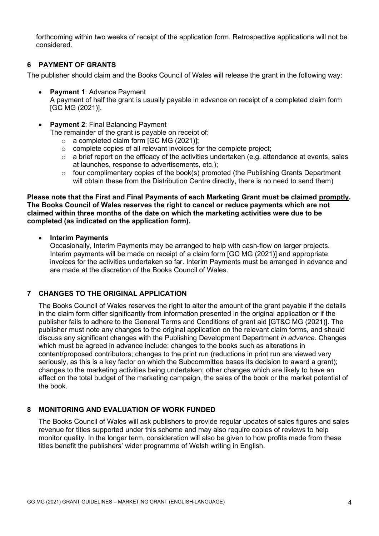forthcoming within two weeks of receipt of the application form. Retrospective applications will not be considered.

### **6 PAYMENT OF GRANTS**

The publisher should claim and the Books Council of Wales will release the grant in the following way:

- **Payment 1**: Advance Payment A payment of half the grant is usually payable in advance on receipt of a completed claim form [GC MG (2021)].
- **Payment 2: Final Balancing Payment** 
	- The remainder of the grant is payable on receipt of:
		- o a completed claim form [GC MG (2021)];
		- o complete copies of all relevant invoices for the complete project;
		- o a brief report on the efficacy of the activities undertaken (e.g. attendance at events, sales at launches, response to advertisements, etc.);
		- $\circ$  four complimentary copies of the book(s) promoted (the Publishing Grants Department will obtain these from the Distribution Centre directly, there is no need to send them)

#### **Please note that the First and Final Payments of each Marketing Grant must be claimed promptly. The Books Council of Wales reserves the right to cancel or reduce payments which are not claimed within three months of the date on which the marketing activities were due to be completed (as indicated on the application form).**

• **Interim Payments**

Occasionally, Interim Payments may be arranged to help with cash-flow on larger projects. Interim payments will be made on receipt of a claim form [GC MG (2021)] and appropriate invoices for the activities undertaken so far. Interim Payments must be arranged in advance and are made at the discretion of the Books Council of Wales.

# **7 CHANGES TO THE ORIGINAL APPLICATION**

The Books Council of Wales reserves the right to alter the amount of the grant payable if the details in the claim form differ significantly from information presented in the original application or if the publisher fails to adhere to the General Terms and Conditions of grant aid [GT&C MG (2021)]. The publisher must note any changes to the original application on the relevant claim forms, and should discuss any significant changes with the Publishing Development Department *in advance*. Changes which must be agreed in advance include: changes to the books such as alterations in content/proposed contributors; changes to the print run (reductions in print run are viewed very seriously, as this is a key factor on which the Subcommittee bases its decision to award a grant); changes to the marketing activities being undertaken; other changes which are likely to have an effect on the total budget of the marketing campaign, the sales of the book or the market potential of the book.

### **8 MONITORING AND EVALUATION OF WORK FUNDED**

The Books Council of Wales will ask publishers to provide regular updates of sales figures and sales revenue for titles supported under this scheme and may also require copies of reviews to help monitor quality. In the longer term, consideration will also be given to how profits made from these titles benefit the publishers' wider programme of Welsh writing in English.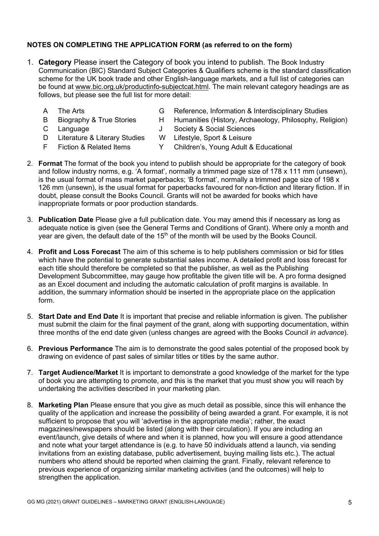# **NOTES ON COMPLETING THE APPLICATION FORM (as referred to on the form)**

- 1. **Category** Please insert the Category of book you intend to publish. The Book Industry Communication (BIC) Standard Subject Categories & Qualifiers scheme is the standard classification scheme for the UK book trade and other English-language markets, and a full list of categories can be found at [www.bic.org.uk/productinfo-subjectcat.html.](http://www.bic.org.uk/productinfo-subjectcat.html) The main relevant category headings are as follows, but please see the full list for more detail:
	-
	- A The Arts G Reference, Information & Interdisciplinary Studies
		-
	- B Biography & True Stories H Humanities (History, Archaeology, Philosophy, Religion)
	- C Language J Society & Social Sciences
	- D Literature & Literary Studies W Lifestyle, Sport & Leisure
		-
	- F Fiction & Related Items Y Children's, Young Adult & Educational
- 2. **Format** The format of the book you intend to publish should be appropriate for the category of book and follow industry norms, e.g. 'A format', normally a trimmed page size of 178 x 111 mm (unsewn), is the usual format of mass market paperbacks; 'B format', normally a trimmed page size of 198 x 126 mm (unsewn), is the usual format for paperbacks favoured for non-fiction and literary fiction. If in doubt, please consult the Books Council. Grants will not be awarded for books which have inappropriate formats or poor production standards.
- 3. **Publication Date** Please give a full publication date. You may amend this if necessary as long as adequate notice is given (see the General Terms and Conditions of Grant). Where only a month and year are given, the default date of the 15<sup>th</sup> of the month will be used by the Books Council.
- 4. **Profit and Loss Forecast** The aim of this scheme is to help publishers commission or bid for titles which have the potential to generate substantial sales income. A detailed profit and loss forecast for each title should therefore be completed so that the publisher, as well as the Publishing Development Subcommittee, may gauge how profitable the given title will be. A pro forma designed as an Excel document and including the automatic calculation of profit margins is available. In addition, the summary information should be inserted in the appropriate place on the application form.
- 5. **Start Date and End Date** It is important that precise and reliable information is given. The publisher must submit the claim for the final payment of the grant, along with supporting documentation, within three months of the end date given (unless changes are agreed with the Books Council *in advance*).
- 6. **Previous Performance** The aim is to demonstrate the good sales potential of the proposed book by drawing on evidence of past sales of similar titles or titles by the same author.
- 7. **Target Audience/Market** It is important to demonstrate a good knowledge of the market for the type of book you are attempting to promote, and this is the market that you must show you will reach by undertaking the activities described in your marketing plan.
- 8. **Marketing Plan** Please ensure that you give as much detail as possible, since this will enhance the quality of the application and increase the possibility of being awarded a grant. For example, it is not sufficient to propose that you will 'advertise in the appropriate media'; rather, the exact magazines/newspapers should be listed (along with their circulation). If you are including an event/launch, give details of where and when it is planned, how you will ensure a good attendance and note what your target attendance is (e.g. to have 50 individuals attend a launch, via sending invitations from an existing database, public advertisement, buying mailing lists etc.). The actual numbers who attend should be reported when claiming the grant. Finally, relevant reference to previous experience of organizing similar marketing activities (and the outcomes) will help to strengthen the application.